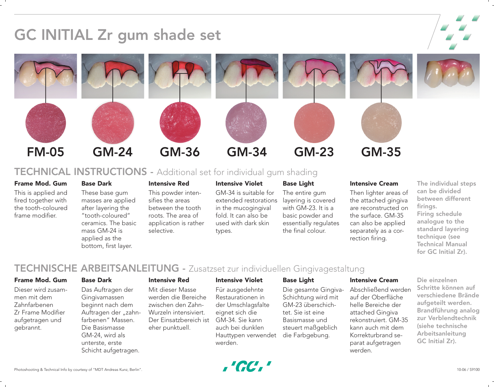

# TECHNICAL INSTRUCTIONS - Additional set for individual gum shading

# Frame Mod. Gum

This is applied and fired together with the tooth-coloured frame modifier.

# These base gum masses are applied after layering the "tooth-coloured" ceramics. The basic mass GM-24 is applied as the bottom, first layer.

# Intensive Red

This powder intensifies the areas between the tooth roots. The area of application is rather selective.

# Intensive Violet

GM-34 is suitable for extended restorations in the mucogingival fold. It can also be used with dark skin types.

# Base Light

The entire gum layering is covered with GM-23. It is a basic powder and essentially regulates the final colour.

# Intensive Cream

Then lighter areas of the attached gingiva are reconstructed on the surface. GM-35 can also be applied separately as a correction firing.

The individual steps can be divided between different firings. Firing schedule analogue to the standard layering technique (see Technical Manual for GC Initial Zr).

# TECHNISCHE ARBEITSANLEITUNG - Zusatzset zur individuellen Gingivagestaltung

# Frame Mod. Gum

Dieser wird zusammen mit dem Zahnfarbenen Zr Frame Modifier aufgetragen und gebrannt.

## Base Dark

Base Dark

Das Auftragen der Gingivamassen beginnt nach dem Auftragen der "zahnfarbenen" Massen. Die Basismasse GM-24, wird als unterste, erste Schicht aufgetragen.

## Intensive Red

Mit dieser Masse werden die Bereiche zwischen den Zahn-Wurzeln intensiviert. Der Einsatzbereich ist eher punktuell.

## Intensive Violet

Für ausgedehnte Restaurationen in der Umschlagsfalte eignet sich die GM-34. Sie kann auch bei dunklen Hauttypen verwendet werden.

# Base Light

Die gesamte Gingiva-Schichtung wird mit GM-23 überschichtet. Sie ist eine Basismasse und steuert maßgeblich die Farbgebung.

## Intensive Cream

Abschließend werden auf der Oberfläche helle Bereiche der attached Gingiva rekonstruiert. GM-35 kann auch mit dem Korrekturbrand separat aufgetragen werden.

Die einzelnen Schritte können auf verschiedene Brände aufgeteilt werden. Brandführung analog zur Verblendtechnik (siehe technische Arbeitsanleitung GC Initial Zr).